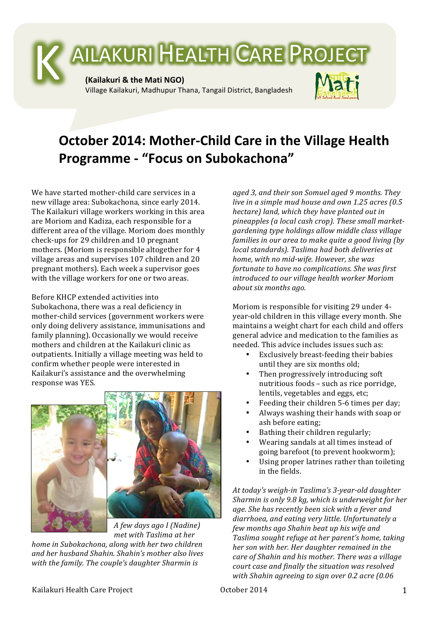

## **October 2014: Mother-Child Care in the Village Health Programme - "Focus on Subokachona"**

We have started mother-child care services in a new village area: Subokachona, since early 2014. The Kailakuri village workers working in this area are Moriom and Kadiza, each responsible for a different area of the village. Moriom does monthly check-ups for 29 children and 10 pregnant mothers. (Moriom is responsible altogether for 4 village areas and supervises 107 children and 20 pregnant mothers). Each week a supervisor goes with the village workers for one or two areas.

Before KHCP extended activities into Subokachona, there was a real deficiency in mother-child services (government workers were only doing delivery assistance, immunisations and family planning). Occasionally we would receive mothers and children at the Kailakuri clinic as outpatients. Initially a village meeting was held to confirm whether people were interested in Kailakuri's assistance and the overwhelming response was YES.



*A few days ago I (Nadine) met with Taslima at her* 

*home in Subokachona, along with her two children* and her husband Shahin. Shahin's mother also lives with the family. The couple's daughter Sharmin is

aged 3, and their son Somuel aged 9 months. They *live in a simple mud house and own 1.25 acres (0.5 hectare) land, which they have planted out in* pineapples (a local cash crop). These small market*gardening type holdings allow middle class village families in our area to make quite a good living (by local standards). Taslima had both deliveries at home, with no mid-wife. However, she was fortunate to have no complications. She was first introduced to our village health worker Moriom about six months ago.* 

Moriom is responsible for visiting 29 under 4year-old children in this village every month. She maintains a weight chart for each child and offers general advice and medication to the families as needed. This advice includes issues such as:

- Exclusively breast-feeding their babies until they are six months old;
- Then progressively introducing soft nutritious foods - such as rice porridge, lentils, vegetables and eggs, etc;
- Feeding their children 5-6 times per day;
- Always washing their hands with soap or ash before eating;
- Bathing their children regularly:
- Wearing sandals at all times instead of going barefoot (to prevent hookworm);
- Using proper latrines rather than toileting in the fields.

At today's weigh-in Taslima's 3-year-old daughter Sharmin is only 9.8 kg, which is underweight for her age. She has recently been sick with a fever and diarrhoea, and eating very little. Unfortunately a *few months ago Shahin beat up his wife and Taslima sought refuge at her parent's home, taking her son with her. Her daughter remained in the care of Shahin and his mother. There was a village* court case and finally the situation was resolved *with Shahin agreeing to sign over 0.2 acre (0.06*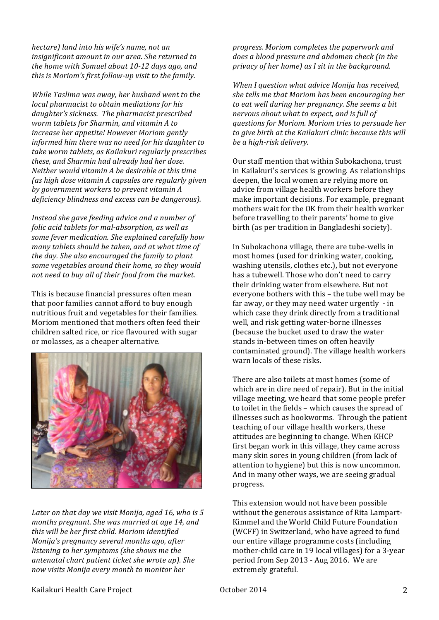*hectare) land into his wife's name, not an*  insignificant amount in our area. She returned to *the home with Somuel about 10-12 days ago, and this is Moriom's first follow-up visit to the family.* 

*While Taslima was away, her husband went to the local pharmacist to obtain mediations for his* daughter's sickness. The pharmacist prescribed worm tablets for Sharmin, and vitamin A to *increase her appetite! However Moriom gently informed him there was no need for his daughter to* take worm tablets, as Kailakuri regularly prescribes *these, and Sharmin had already had her dose. Neither* would vitamin A be desirable at this time *(as high dose vitamin A capsules are regularly given* by government workers to prevent vitamin A deficiency blindness and excess can be dangerous).

*Instead she gave feeding advice and a number of folic acid tablets for mal-absorption, as well as* some fever medication. She explained carefully how *many tablets should be taken, and at what time of the day. She also encouraged the family to plant* some vegetables around their home, so they would not need to buy all of their food from the market.

This is because financial pressures often mean that poor families cannot afford to buy enough nutritious fruit and vegetables for their families. Moriom mentioned that mothers often feed their children salted rice, or rice flavoured with sugar or molasses, as a cheaper alternative.



Later on that day we visit Monija, aged 16, who is 5 months pregnant. She was married at age 14, and *this will be her first child. Moriom identified Monija's pregnancy several months ago, after listening to her symptoms (she shows me the antenatal chart patient ticket she wrote up). She now visits Monija every month to monitor her* 

*progress. Moriom completes the paperwork and* does a blood pressure and abdomen check (in the *privacy of her home)* as *I* sit in the background.

*When I question what advice Monija has received,* she tells me that Moriom has been encouraging her to eat well during her pregnancy. She seems a bit *nervous about what to expect, and is full of questions for Moriom. Moriom tries to persuade her*  to give birth at the Kailakuri clinic because this will *be a high-risk delivery.* 

Our staff mention that within Subokachona, trust in Kailakuri's services is growing. As relationships deepen, the local women are relying more on advice from village health workers before they make important decisions. For example, pregnant mothers wait for the OK from their health worker before travelling to their parents' home to give birth (as per tradition in Bangladeshi society).

In Subokachona village, there are tube-wells in most homes (used for drinking water, cooking, washing utensils, clothes etc.), but not everyone has a tubewell. Those who don't need to carry their drinking water from elsewhere. But not everyone bothers with this - the tube well may be far away, or they may need water urgently  $\cdot$  in which case they drink directly from a traditional well, and risk getting water-borne illnesses (because the bucket used to draw the water stands in-between times on often heavily contaminated ground). The village health workers warn locals of these risks.

There are also toilets at most homes (some of which are in dire need of repair). But in the initial village meeting, we heard that some people prefer to toilet in the fields - which causes the spread of illnesses such as hookworms. Through the patient teaching of our village health workers, these attitudes are beginning to change. When KHCP first began work in this village, they came across many skin sores in young children (from lack of attention to hygiene) but this is now uncommon. And in many other ways, we are seeing gradual progress. 

This extension would not have been possible without the generous assistance of Rita Lampart-Kimmel and the World Child Future Foundation (WCFF) in Switzerland, who have agreed to fund our entire village programme costs (including mother-child care in 19 local villages) for a 3-year period from Sep 2013 - Aug 2016. We are extremely grateful.

## Kailakuri Health Care Project  $\qquad \qquad$  October 2014 2